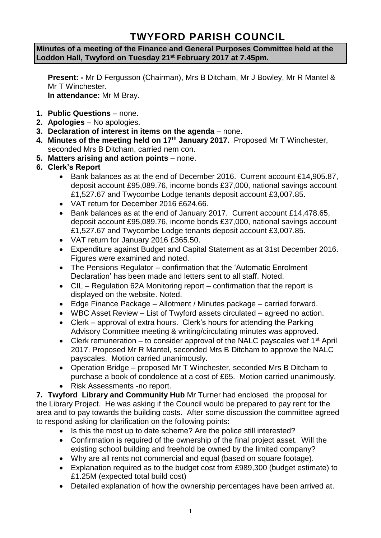## **TWYFORD PARISH COUNCIL**

**Minutes of a meeting of the Finance and General Purposes Committee held at the Loddon Hall, Twyford on Tuesday 21st February 2017 at 7.45pm.**

**Present: -** Mr D Fergusson (Chairman), Mrs B Ditcham, Mr J Bowley, Mr R Mantel & Mr T Winchester. **In attendance:** Mr M Bray.

- **1. Public Questions** none.
- **2. Apologies** No apologies.
- **3. Declaration of interest in items on the agenda**  none.
- **4. Minutes of the meeting held on 17th January 2017.** Proposed Mr T Winchester, seconded Mrs B Ditcham, carried nem con.
- **5. Matters arising and action points** none.
- **6. Clerk's Report**
	- Bank balances as at the end of December 2016. Current account £14,905.87, deposit account £95,089.76, income bonds £37,000, national savings account £1,527.67 and Twycombe Lodge tenants deposit account £3,007.85.
	- VAT return for December 2016 £624.66.
	- Bank balances as at the end of January 2017. Current account £14,478.65, deposit account £95,089.76, income bonds £37,000, national savings account £1,527.67 and Twycombe Lodge tenants deposit account £3,007.85.
	- VAT return for January 2016 £365.50.
	- Expenditure against Budget and Capital Statement as at 31st December 2016. Figures were examined and noted.
	- The Pensions Regulator confirmation that the 'Automatic Enrolment Declaration' has been made and letters sent to all staff. Noted.
	- CIL Regulation 62A Monitoring report confirmation that the report is displayed on the website. Noted.
	- Edge Finance Package Allotment / Minutes package carried forward.
	- WBC Asset Review List of Twyford assets circulated agreed no action.
	- Clerk approval of extra hours. Clerk's hours for attending the Parking Advisory Committee meeting & writing/circulating minutes was approved.
	- Clerk remuneration to consider approval of the NALC payscales wef 1<sup>st</sup> April 2017. Proposed Mr R Mantel, seconded Mrs B Ditcham to approve the NALC payscales. Motion carried unanimously.
	- Operation Bridge proposed Mr T Winchester, seconded Mrs B Ditcham to purchase a book of condolence at a cost of £65. Motion carried unanimously.
	- Risk Assessments -no report.

**7. Twyford Library and Community Hub** Mr Turner had enclosed the proposal for the Library Project. He was asking if the Council would be prepared to pay rent for the area and to pay towards the building costs. After some discussion the committee agreed to respond asking for clarification on the following points:

- Is this the most up to date scheme? Are the police still interested?
- Confirmation is required of the ownership of the final project asset. Will the existing school building and freehold be owned by the limited company?
- Why are all rents not commercial and equal (based on square footage).
- Explanation required as to the budget cost from £989,300 (budget estimate) to £1.25M (expected total build cost)
- Detailed explanation of how the ownership percentages have been arrived at.